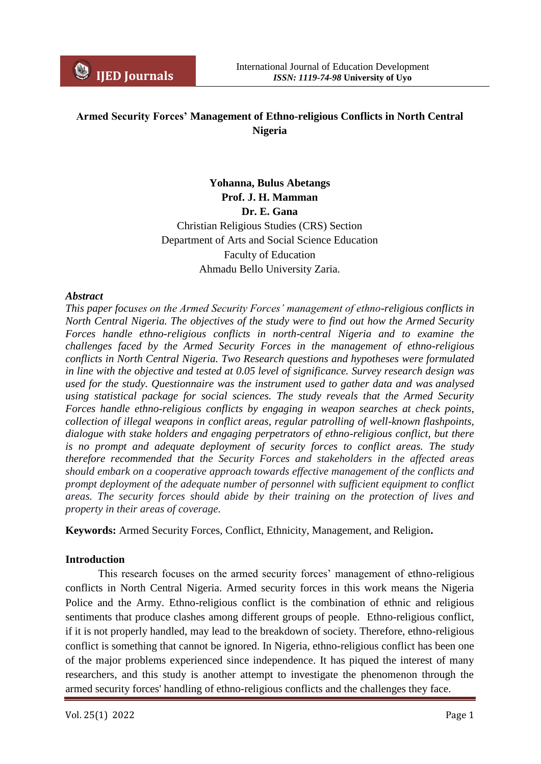# **Armed Security Forces' Management of Ethno-religious Conflicts in North Central Nigeria**

**Yohanna, Bulus Abetangs Prof. J. H. Mamman Dr. E. Gana** Christian Religious Studies (CRS) Section Department of Arts and Social Science Education Faculty of Education Ahmadu Bello University Zaria.

### *Abstract*

*This paper focuses on the Armed Security Forces' management of ethno-religious conflicts in North Central Nigeria. The objectives of the study were to find out how the Armed Security Forces handle ethno-religious conflicts in north-central Nigeria and to examine the challenges faced by the Armed Security Forces in the management of ethno-religious conflicts in North Central Nigeria. Two Research questions and hypotheses were formulated in line with the objective and tested at 0.05 level of significance. Survey research design was used for the study. Questionnaire was the instrument used to gather data and was analysed using statistical package for social sciences. The study reveals that the Armed Security Forces handle ethno-religious conflicts by engaging in weapon searches at check points, collection of illegal weapons in conflict areas, regular patrolling of well-known flashpoints, dialogue with stake holders and engaging perpetrators of ethno-religious conflict, but there is no prompt and adequate deployment of security forces to conflict areas. The study therefore recommended that the Security Forces and stakeholders in the affected areas should embark on a cooperative approach towards effective management of the conflicts and prompt deployment of the adequate number of personnel with sufficient equipment to conflict areas. The security forces should abide by their training on the protection of lives and property in their areas of coverage.*

**Keywords:** Armed Security Forces, Conflict, Ethnicity, Management, and Religion**.**

## **Introduction**

This research focuses on the armed security forces' management of ethno-religious conflicts in North Central Nigeria. Armed security forces in this work means the Nigeria Police and the Army. Ethno-religious conflict is the combination of ethnic and religious sentiments that produce clashes among different groups of people. Ethno-religious conflict, if it is not properly handled, may lead to the breakdown of society. Therefore, ethno-religious conflict is something that cannot be ignored. In Nigeria, ethno-religious conflict has been one of the major problems experienced since independence. It has piqued the interest of many researchers, and this study is another attempt to investigate the phenomenon through the armed security forces' handling of ethno-religious conflicts and the challenges they face.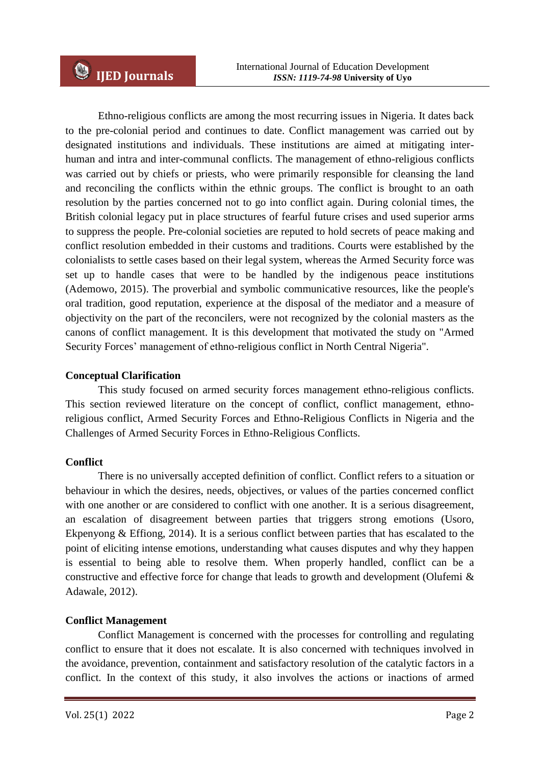Ethno-religious conflicts are among the most recurring issues in Nigeria. It dates back to the pre-colonial period and continues to date. Conflict management was carried out by designated institutions and individuals. These institutions are aimed at mitigating interhuman and intra and inter-communal conflicts. The management of ethno-religious conflicts was carried out by chiefs or priests, who were primarily responsible for cleansing the land and reconciling the conflicts within the ethnic groups. The conflict is brought to an oath resolution by the parties concerned not to go into conflict again. During colonial times, the British colonial legacy put in place structures of fearful future crises and used superior arms to suppress the people. Pre-colonial societies are reputed to hold secrets of peace making and conflict resolution embedded in their customs and traditions. Courts were established by the colonialists to settle cases based on their legal system, whereas the Armed Security force was set up to handle cases that were to be handled by the indigenous peace institutions (Ademowo, 2015). The proverbial and symbolic communicative resources, like the people's oral tradition, good reputation, experience at the disposal of the mediator and a measure of objectivity on the part of the reconcilers, were not recognized by the colonial masters as the canons of conflict management. It is this development that motivated the study on "Armed Security Forces' management of ethno-religious conflict in North Central Nigeria".

# **Conceptual Clarification**

This study focused on armed security forces management ethno-religious conflicts. This section reviewed literature on the concept of conflict, conflict management, ethnoreligious conflict, Armed Security Forces and Ethno-Religious Conflicts in Nigeria and the Challenges of Armed Security Forces in Ethno-Religious Conflicts.

# **Conflict**

There is no universally accepted definition of conflict. Conflict refers to a situation or behaviour in which the desires, needs, objectives, or values of the parties concerned conflict with one another or are considered to conflict with one another. It is a serious disagreement, an escalation of disagreement between parties that triggers strong emotions (Usoro, Ekpenyong & Effiong, 2014). It is a serious conflict between parties that has escalated to the point of eliciting intense emotions, understanding what causes disputes and why they happen is essential to being able to resolve them. When properly handled, conflict can be a constructive and effective force for change that leads to growth and development (Olufemi & Adawale, 2012).

# **Conflict Management**

Conflict Management is concerned with the processes for controlling and regulating conflict to ensure that it does not escalate. It is also concerned with techniques involved in the avoidance, prevention, containment and satisfactory resolution of the catalytic factors in a conflict. In the context of this study, it also involves the actions or inactions of armed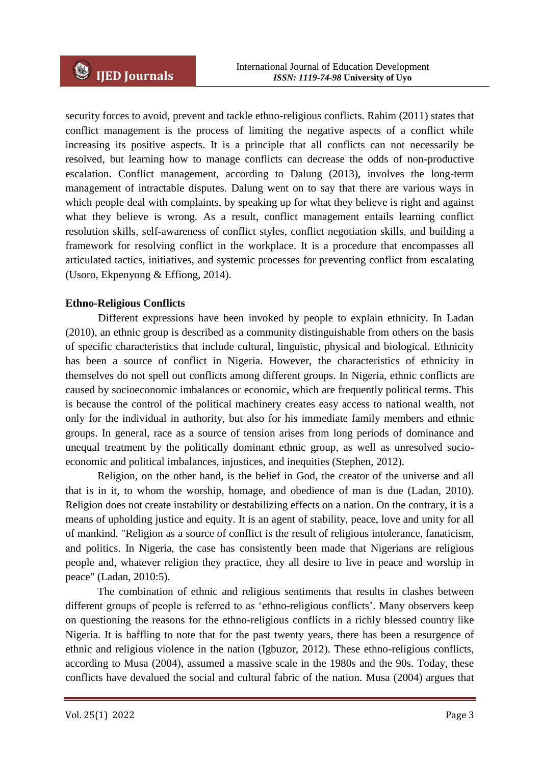security forces to avoid, prevent and tackle ethno-religious conflicts. Rahim (2011) states that conflict management is the process of limiting the negative aspects of a conflict while increasing its positive aspects. It is a principle that all conflicts can not necessarily be resolved, but learning how to manage conflicts can decrease the odds of non-productive escalation. Conflict management, according to Dalung (2013), involves the long-term management of intractable disputes. Dalung went on to say that there are various ways in which people deal with complaints, by speaking up for what they believe is right and against what they believe is wrong. As a result, conflict management entails learning conflict resolution skills, self-awareness of conflict styles, conflict negotiation skills, and building a framework for resolving conflict in the workplace. It is a procedure that encompasses all articulated tactics, initiatives, and systemic processes for preventing conflict from escalating (Usoro, Ekpenyong & Effiong, 2014).

## **Ethno-Religious Conflicts**

Different expressions have been invoked by people to explain ethnicity. In Ladan (2010), an ethnic group is described as a community distinguishable from others on the basis of specific characteristics that include cultural, linguistic, physical and biological. Ethnicity has been a source of conflict in Nigeria. However, the characteristics of ethnicity in themselves do not spell out conflicts among different groups. In Nigeria, ethnic conflicts are caused by socioeconomic imbalances or economic, which are frequently political terms. This is because the control of the political machinery creates easy access to national wealth, not only for the individual in authority, but also for his immediate family members and ethnic groups. In general, race as a source of tension arises from long periods of dominance and unequal treatment by the politically dominant ethnic group, as well as unresolved socioeconomic and political imbalances, injustices, and inequities (Stephen, 2012).

Religion, on the other hand, is the belief in God, the creator of the universe and all that is in it, to whom the worship, homage, and obedience of man is due (Ladan, 2010). Religion does not create instability or destabilizing effects on a nation. On the contrary, it is a means of upholding justice and equity. It is an agent of stability, peace, love and unity for all of mankind. "Religion as a source of conflict is the result of religious intolerance, fanaticism, and politics. In Nigeria, the case has consistently been made that Nigerians are religious people and, whatever religion they practice, they all desire to live in peace and worship in peace" (Ladan, 2010:5).

The combination of ethnic and religious sentiments that results in clashes between different groups of people is referred to as 'ethno-religious conflicts'. Many observers keep on questioning the reasons for the ethno-religious conflicts in a richly blessed country like Nigeria. It is baffling to note that for the past twenty years, there has been a resurgence of ethnic and religious violence in the nation (Igbuzor, 2012). These ethno-religious conflicts, according to Musa (2004), assumed a massive scale in the 1980s and the 90s. Today, these conflicts have devalued the social and cultural fabric of the nation. Musa (2004) argues that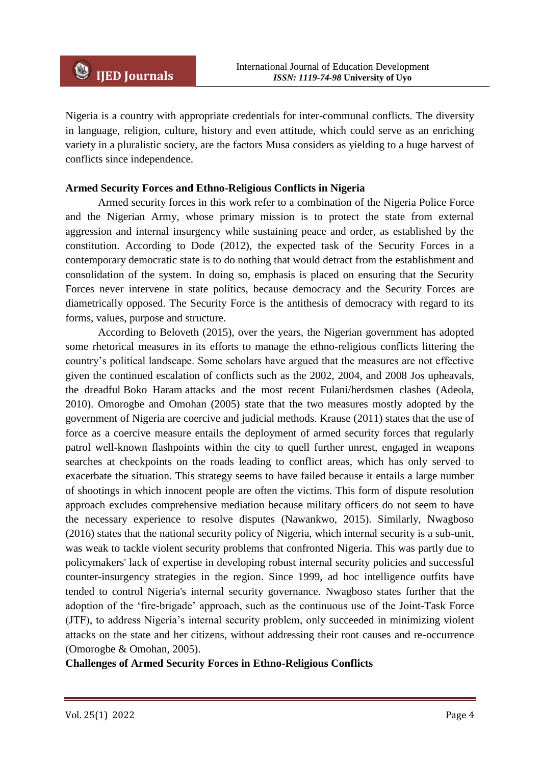Nigeria is a country with appropriate credentials for inter-communal conflicts. The diversity in language, religion, culture, history and even attitude, which could serve as an enriching variety in a pluralistic society, are the factors Musa considers as yielding to a huge harvest of conflicts since independence.

### **Armed Security Forces and Ethno-Religious Conflicts in Nigeria**

Armed security forces in this work refer to a combination of the Nigeria Police Force and the Nigerian Army, whose primary mission is to protect the state from external aggression and internal insurgency while sustaining peace and order, as established by the constitution. According to Dode (2012), the expected task of the Security Forces in a contemporary democratic state is to do nothing that would detract from the establishment and consolidation of the system. In doing so, emphasis is placed on ensuring that the Security Forces never intervene in state politics, because democracy and the Security Forces are diametrically opposed. The Security Force is the antithesis of democracy with regard to its forms, values, purpose and structure.

According to Beloveth (2015), over the years, the Nigerian government has adopted some rhetorical measures in its efforts to manage the ethno-religious conflicts littering the country's political landscape. Some scholars have argued that the measures are not effective given the continued escalation of conflicts such as the 2002, 2004, and 2008 Jos upheavals, the dreadful Boko Haram attacks and the most recent Fulani/herdsmen clashes (Adeola, 2010). Omorogbe and Omohan (2005) state that the two measures mostly adopted by the government of Nigeria are coercive and judicial methods. Krause (2011) states that the use of force as a coercive measure entails the deployment of armed security forces that regularly patrol well-known flashpoints within the city to quell further unrest, engaged in weapons searches at checkpoints on the roads leading to conflict areas, which has only served to exacerbate the situation. This strategy seems to have failed because it entails a large number of shootings in which innocent people are often the victims. This form of dispute resolution approach excludes comprehensive mediation because military officers do not seem to have the necessary experience to resolve disputes (Nawankwo, 2015). Similarly, Nwagboso (2016) states that the national security policy of Nigeria, which internal security is a sub-unit, was weak to tackle violent security problems that confronted Nigeria. This was partly due to policymakers' lack of expertise in developing robust internal security policies and successful counter-insurgency strategies in the region. Since 1999, ad hoc intelligence outfits have tended to control Nigeria's internal security governance. Nwagboso states further that the adoption of the 'fire-brigade' approach, such as the continuous use of the Joint-Task Force (JTF), to address Nigeria's internal security problem, only succeeded in minimizing violent attacks on the state and her citizens, without addressing their root causes and re-occurrence (Omorogbe & Omohan, 2005).

**Challenges of Armed Security Forces in Ethno-Religious Conflicts**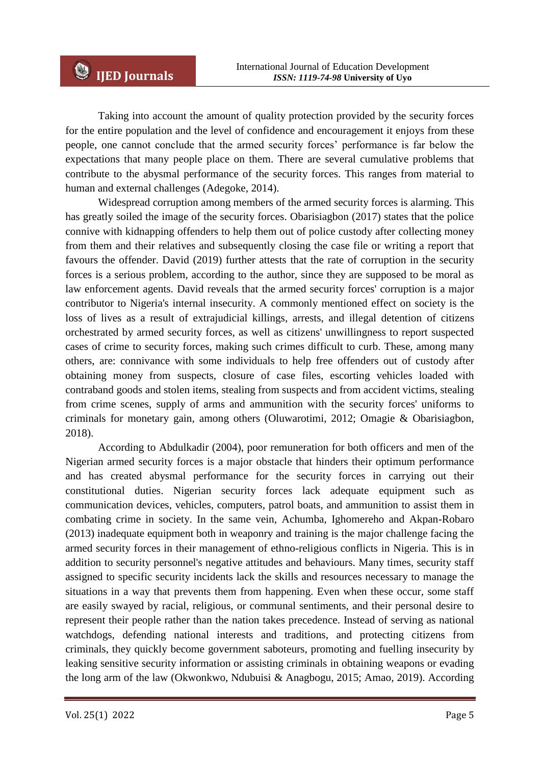Taking into account the amount of quality protection provided by the security forces for the entire population and the level of confidence and encouragement it enjoys from these people, one cannot conclude that the armed security forces' performance is far below the expectations that many people place on them. There are several cumulative problems that contribute to the abysmal performance of the security forces. This ranges from material to human and external challenges (Adegoke, 2014).

Widespread corruption among members of the armed security forces is alarming. This has greatly soiled the image of the security forces. Obarisiagbon (2017) states that the police connive with kidnapping offenders to help them out of police custody after collecting money from them and their relatives and subsequently closing the case file or writing a report that favours the offender. David (2019) further attests that the rate of corruption in the security forces is a serious problem, according to the author, since they are supposed to be moral as law enforcement agents. David reveals that the armed security forces' corruption is a major contributor to Nigeria's internal insecurity. A commonly mentioned effect on society is the loss of lives as a result of extrajudicial killings, arrests, and illegal detention of citizens orchestrated by armed security forces, as well as citizens' unwillingness to report suspected cases of crime to security forces, making such crimes difficult to curb. These, among many others, are: connivance with some individuals to help free offenders out of custody after obtaining money from suspects, closure of case files, escorting vehicles loaded with contraband goods and stolen items, stealing from suspects and from accident victims, stealing from crime scenes, supply of arms and ammunition with the security forces' uniforms to criminals for monetary gain, among others (Oluwarotimi, 2012; Omagie & Obarisiagbon, 2018).

According to Abdulkadir (2004), poor remuneration for both officers and men of the Nigerian armed security forces is a major obstacle that hinders their optimum performance and has created abysmal performance for the security forces in carrying out their constitutional duties. Nigerian security forces lack adequate equipment such as communication devices, vehicles, computers, patrol boats, and ammunition to assist them in combating crime in society. In the same vein, Achumba, Ighomereho and Akpan-Robaro (2013) inadequate equipment both in weaponry and training is the major challenge facing the armed security forces in their management of ethno-religious conflicts in Nigeria. This is in addition to security personnel's negative attitudes and behaviours. Many times, security staff assigned to specific security incidents lack the skills and resources necessary to manage the situations in a way that prevents them from happening. Even when these occur, some staff are easily swayed by racial, religious, or communal sentiments, and their personal desire to represent their people rather than the nation takes precedence. Instead of serving as national watchdogs, defending national interests and traditions, and protecting citizens from criminals, they quickly become government saboteurs, promoting and fuelling insecurity by leaking sensitive security information or assisting criminals in obtaining weapons or evading the long arm of the law (Okwonkwo, Ndubuisi & Anagbogu, 2015; Amao, 2019). According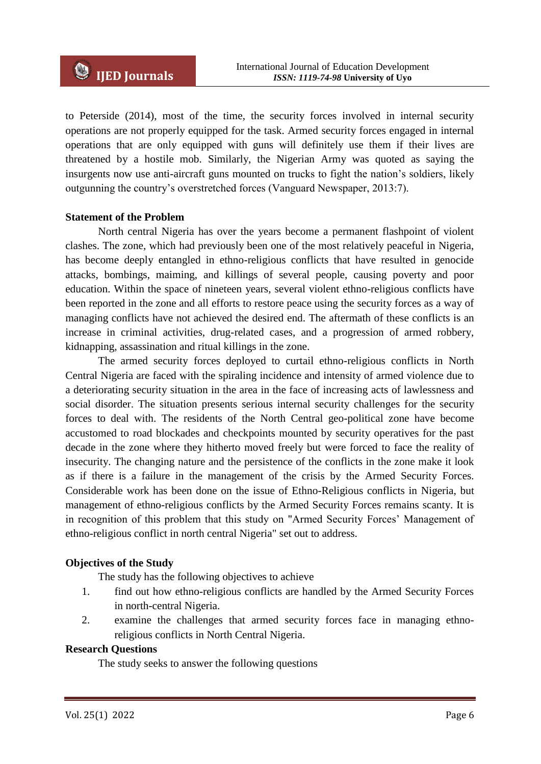to Peterside (2014), most of the time, the security forces involved in internal security operations are not properly equipped for the task. Armed security forces engaged in internal operations that are only equipped with guns will definitely use them if their lives are threatened by a hostile mob. Similarly, the Nigerian Army was quoted as saying the insurgents now use anti-aircraft guns mounted on trucks to fight the nation's soldiers, likely outgunning the country's overstretched forces (Vanguard Newspaper, 2013:7).

## **Statement of the Problem**

North central Nigeria has over the years become a permanent flashpoint of violent clashes. The zone, which had previously been one of the most relatively peaceful in Nigeria, has become deeply entangled in ethno-religious conflicts that have resulted in genocide attacks, bombings, maiming, and killings of several people, causing poverty and poor education. Within the space of nineteen years, several violent ethno-religious conflicts have been reported in the zone and all efforts to restore peace using the security forces as a way of managing conflicts have not achieved the desired end. The aftermath of these conflicts is an increase in criminal activities, drug-related cases, and a progression of armed robbery, kidnapping, assassination and ritual killings in the zone.

The armed security forces deployed to curtail ethno-religious conflicts in North Central Nigeria are faced with the spiraling incidence and intensity of armed violence due to a deteriorating security situation in the area in the face of increasing acts of lawlessness and social disorder. The situation presents serious internal security challenges for the security forces to deal with. The residents of the North Central geo-political zone have become accustomed to road blockades and checkpoints mounted by security operatives for the past decade in the zone where they hitherto moved freely but were forced to face the reality of insecurity. The changing nature and the persistence of the conflicts in the zone make it look as if there is a failure in the management of the crisis by the Armed Security Forces. Considerable work has been done on the issue of Ethno-Religious conflicts in Nigeria, but management of ethno-religious conflicts by the Armed Security Forces remains scanty. It is in recognition of this problem that this study on "Armed Security Forces' Management of ethno-religious conflict in north central Nigeria" set out to address.

## **Objectives of the Study**

The study has the following objectives to achieve

- 1. find out how ethno-religious conflicts are handled by the Armed Security Forces in north-central Nigeria.
- 2. examine the challenges that armed security forces face in managing ethnoreligious conflicts in North Central Nigeria.

#### **Research Questions**

The study seeks to answer the following questions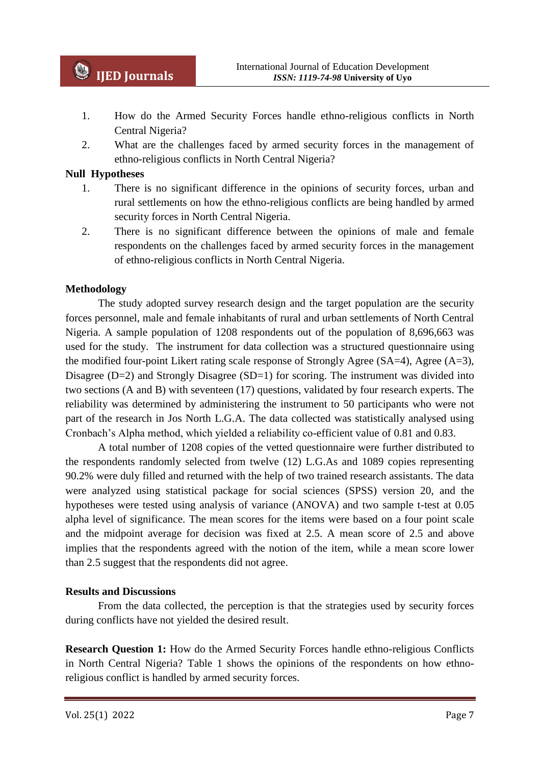- 1. How do the Armed Security Forces handle ethno-religious conflicts in North Central Nigeria?
- 2. What are the challenges faced by armed security forces in the management of ethno-religious conflicts in North Central Nigeria?

### **Null Hypotheses**

- 1. There is no significant difference in the opinions of security forces, urban and rural settlements on how the ethno-religious conflicts are being handled by armed security forces in North Central Nigeria.
- 2. There is no significant difference between the opinions of male and female respondents on the challenges faced by armed security forces in the management of ethno-religious conflicts in North Central Nigeria.

### **Methodology**

The study adopted survey research design and the target population are the security forces personnel, male and female inhabitants of rural and urban settlements of North Central Nigeria. A sample population of 1208 respondents out of the population of 8,696,663 was used for the study. The instrument for data collection was a structured questionnaire using the modified four-point Likert rating scale response of Strongly Agree (SA=4), Agree (A=3), Disagree  $(D=2)$  and Strongly Disagree  $(SD=1)$  for scoring. The instrument was divided into two sections (A and B) with seventeen (17) questions, validated by four research experts. The reliability was determined by administering the instrument to 50 participants who were not part of the research in Jos North L.G.A. The data collected was statistically analysed using Cronbach's Alpha method, which yielded a reliability co-efficient value of 0.81 and 0.83.

A total number of 1208 copies of the vetted questionnaire were further distributed to the respondents randomly selected from twelve (12) L.G.As and 1089 copies representing 90.2% were duly filled and returned with the help of two trained research assistants. The data were analyzed using statistical package for social sciences (SPSS) version 20, and the hypotheses were tested using analysis of variance (ANOVA) and two sample t-test at 0.05 alpha level of significance. The mean scores for the items were based on a four point scale and the midpoint average for decision was fixed at 2.5. A mean score of 2.5 and above implies that the respondents agreed with the notion of the item, while a mean score lower than 2.5 suggest that the respondents did not agree.

#### **Results and Discussions**

From the data collected, the perception is that the strategies used by security forces during conflicts have not yielded the desired result.

**Research Question 1:** How do the Armed Security Forces handle ethno-religious Conflicts in North Central Nigeria? Table 1 shows the opinions of the respondents on how ethnoreligious conflict is handled by armed security forces.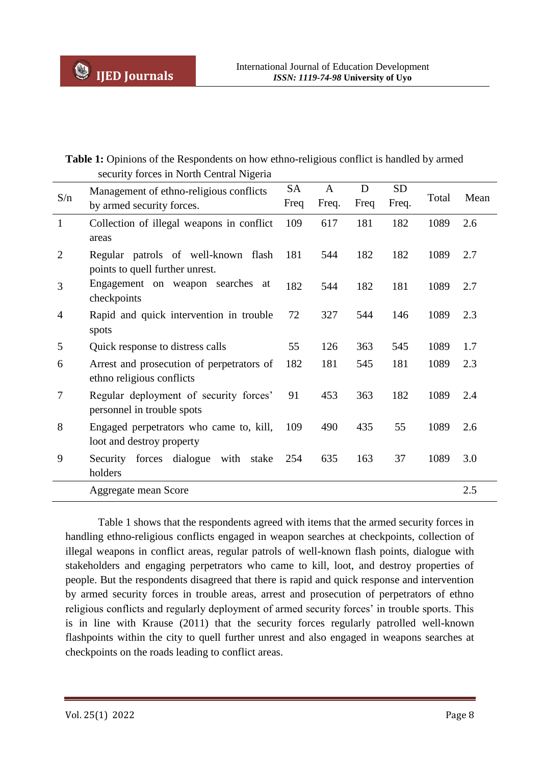## Table 1: Opinions of the Respondents on how ethno-religious conflict is handled by armed security forces in North Central Nigeria

| S/n              | Management of ethno-religious conflicts<br>by armed security forces.   | <b>SA</b><br>Freq | A<br>Freq. | D<br>Freq | <b>SD</b><br>Freq. | Total | Mean |
|------------------|------------------------------------------------------------------------|-------------------|------------|-----------|--------------------|-------|------|
| $\mathbf{1}$     | Collection of illegal weapons in conflict<br>areas                     | 109               | 617        | 181       | 182                | 1089  | 2.6  |
| $\overline{2}$   | Regular patrols of well-known flash<br>points to quell further unrest. | 181               | 544        | 182       | 182                | 1089  | 2.7  |
| 3                | Engagement on weapon searches at<br>checkpoints                        | 182               | 544        | 182       | 181                | 1089  | 2.7  |
| 4                | Rapid and quick intervention in trouble<br>spots                       | 72                | 327        | 544       | 146                | 1089  | 2.3  |
| 5                | Quick response to distress calls                                       | 55                | 126        | 363       | 545                | 1089  | 1.7  |
| 6                | Arrest and prosecution of perpetrators of<br>ethno religious conflicts | 182               | 181        | 545       | 181                | 1089  | 2.3  |
| $\boldsymbol{7}$ | Regular deployment of security forces'<br>personnel in trouble spots   | 91                | 453        | 363       | 182                | 1089  | 2.4  |
| 8                | Engaged perpetrators who came to, kill,<br>loot and destroy property   | 109               | 490        | 435       | 55                 | 1089  | 2.6  |
| 9                | Security forces dialogue<br>with<br>stake<br>holders                   | 254               | 635        | 163       | 37                 | 1089  | 3.0  |
|                  | Aggregate mean Score                                                   |                   |            |           |                    |       | 2.5  |

Table 1 shows that the respondents agreed with items that the armed security forces in handling ethno-religious conflicts engaged in weapon searches at checkpoints, collection of illegal weapons in conflict areas, regular patrols of well-known flash points, dialogue with stakeholders and engaging perpetrators who came to kill, loot, and destroy properties of people. But the respondents disagreed that there is rapid and quick response and intervention by armed security forces in trouble areas, arrest and prosecution of perpetrators of ethno religious conflicts and regularly deployment of armed security forces' in trouble sports. This is in line with Krause (2011) that the security forces regularly patrolled well-known flashpoints within the city to quell further unrest and also engaged in weapons searches at checkpoints on the roads leading to conflict areas.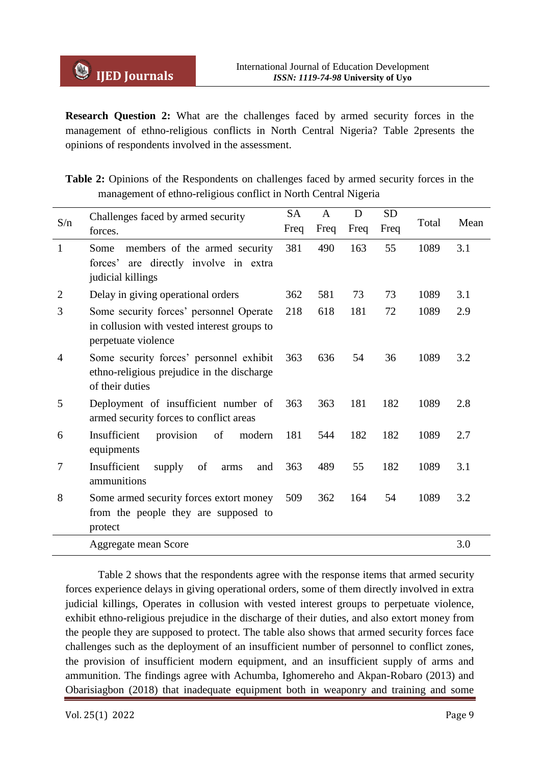**Research Question 2:** What are the challenges faced by armed security forces in the management of ethno-religious conflicts in North Central Nigeria? Table 2presents the opinions of respondents involved in the assessment.

|  |  |  | <b>Table 2:</b> Opinions of the Respondents on challenges faced by armed security forces in the |  |  |  |  |
|--|--|--|-------------------------------------------------------------------------------------------------|--|--|--|--|
|  |  |  | management of ethno-religious conflict in North Central Nigeria                                 |  |  |  |  |

| S/n            | Challenges faced by armed security                                                                            |      | $\mathbf{A}$ | D   | <b>SD</b> |       |      |
|----------------|---------------------------------------------------------------------------------------------------------------|------|--------------|-----|-----------|-------|------|
|                | forces.                                                                                                       | Freq | Freq         |     | Freq      | Total | Mean |
| 1              | members of the armed security<br>Some<br>are directly involve in extra<br>forces'<br>judicial killings        | 381  | 490          | 163 | 55        | 1089  | 3.1  |
| $\overline{2}$ | Delay in giving operational orders                                                                            | 362  | 581          | 73  | 73        | 1089  | 3.1  |
| 3              | Some security forces' personnel Operate<br>in collusion with vested interest groups to<br>perpetuate violence | 218  | 618          | 181 | 72        | 1089  | 2.9  |
| 4              | Some security forces' personnel exhibit<br>ethno-religious prejudice in the discharge<br>of their duties      | 363  | 636          | 54  | 36        | 1089  | 3.2  |
| 5              | Deployment of insufficient number of<br>armed security forces to conflict areas                               | 363  | 363          | 181 | 182       | 1089  | 2.8  |
| 6              | Insufficient<br>provision<br>of<br>modern<br>equipments                                                       | 181  | 544          | 182 | 182       | 1089  | 2.7  |
| 7              | Insufficient<br>of<br>supply<br>and<br>arms<br>ammunitions                                                    | 363  | 489          | 55  | 182       | 1089  | 3.1  |
| 8              | Some armed security forces extort money<br>from the people they are supposed to<br>protect                    | 509  | 362          | 164 | 54        | 1089  | 3.2  |
|                | Aggregate mean Score                                                                                          |      |              |     |           |       | 3.0  |

Table 2 shows that the respondents agree with the response items that armed security forces experience delays in giving operational orders, some of them directly involved in extra judicial killings, Operates in collusion with vested interest groups to perpetuate violence, exhibit ethno-religious prejudice in the discharge of their duties, and also extort money from the people they are supposed to protect. The table also shows that armed security forces face challenges such as the deployment of an insufficient number of personnel to conflict zones, the provision of insufficient modern equipment, and an insufficient supply of arms and ammunition. The findings agree with Achumba, Ighomereho and Akpan-Robaro (2013) and Obarisiagbon (2018) that inadequate equipment both in weaponry and training and some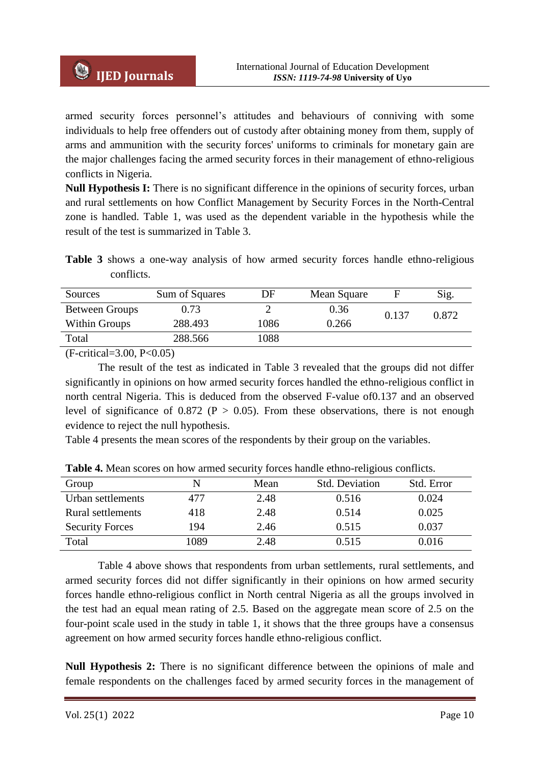armed security forces personnel's attitudes and behaviours of conniving with some individuals to help free offenders out of custody after obtaining money from them, supply of arms and ammunition with the security forces' uniforms to criminals for monetary gain are the major challenges facing the armed security forces in their management of ethno-religious conflicts in Nigeria.

**Null Hypothesis I:** There is no significant difference in the opinions of security forces, urban and rural settlements on how Conflict Management by Security Forces in the North-Central zone is handled. Table 1, was used as the dependent variable in the hypothesis while the result of the test is summarized in Table 3.

**Table 3** shows a one-way analysis of how armed security forces handle ethno-religious conflicts.

| Sources        | Sum of Squares | DF   | Mean Square |       | Sig.  |
|----------------|----------------|------|-------------|-------|-------|
| Between Groups | 0.73           |      | 0.36        | 0.137 | 0.872 |
| Within Groups  | 288.493        | 1086 | 0.266       |       |       |
| Total          | 288.566        | 1088 |             |       |       |

(F-critical=3.00, P<0.05)

The result of the test as indicated in Table 3 revealed that the groups did not differ significantly in opinions on how armed security forces handled the ethno-religious conflict in north central Nigeria. This is deduced from the observed F-value of0.137 and an observed level of significance of 0.872 ( $P > 0.05$ ). From these observations, there is not enough evidence to reject the null hypothesis.

Table 4 presents the mean scores of the respondents by their group on the variables.

| Group                    | N    | Mean | <b>Std. Deviation</b> | Std. Error |
|--------------------------|------|------|-----------------------|------------|
| Urban settlements        | 477  | 2.48 | 0.516                 | 0.024      |
| <b>Rural settlements</b> | 418  | 2.48 | 0.514                 | 0.025      |
| <b>Security Forces</b>   | 194  | 2.46 | 0.515                 | 0.037      |
| Total                    | 1089 | 2.48 | 0.515                 | 0.016      |

**Table 4.** Mean scores on how armed security forces handle ethno-religious conflicts.

Table 4 above shows that respondents from urban settlements, rural settlements, and armed security forces did not differ significantly in their opinions on how armed security forces handle ethno-religious conflict in North central Nigeria as all the groups involved in the test had an equal mean rating of 2.5. Based on the aggregate mean score of 2.5 on the four-point scale used in the study in table 1, it shows that the three groups have a consensus agreement on how armed security forces handle ethno-religious conflict.

**Null Hypothesis 2:** There is no significant difference between the opinions of male and female respondents on the challenges faced by armed security forces in the management of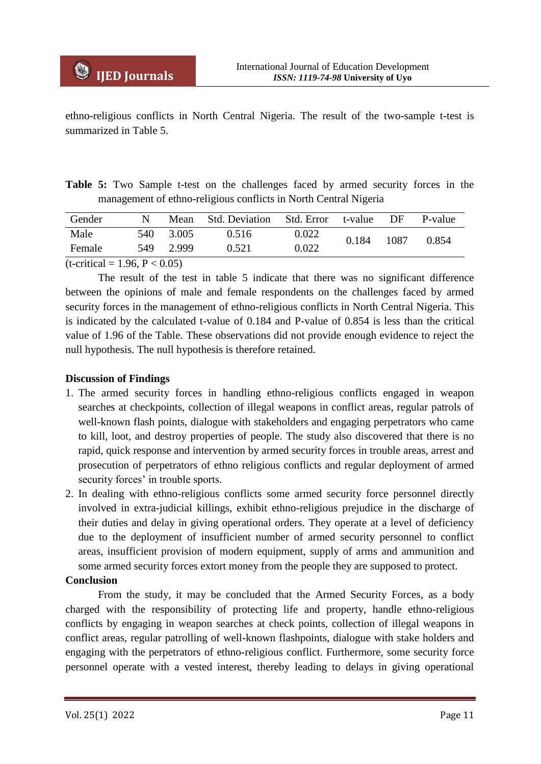ethno-religious conflicts in North Central Nigeria. The result of the two-sample t-test is summarized in Table 5.

**Table 5:** Two Sample t-test on the challenges faced by armed security forces in the management of ethno-religious conflicts in North Central Nigeria

| Gender                        |      |       | Mean Std. Deviation | Std. Error t-value DF |       |      | P-value |  |
|-------------------------------|------|-------|---------------------|-----------------------|-------|------|---------|--|
| Male                          | 540. | 3.005 | 0.516               | 0.022                 | 0.184 | 1087 | 0.854   |  |
| Female                        | 549  | 2.999 | 0.521               | 0.022                 |       |      |         |  |
| $(1 - 1)$ $(0 - 1)$ $(0 - 0)$ |      |       |                     |                       |       |      |         |  |

 $(t\text{-critical} = 1.96, P < 0.05)$ 

The result of the test in table 5 indicate that there was no significant difference between the opinions of male and female respondents on the challenges faced by armed security forces in the management of ethno-religious conflicts in North Central Nigeria. This is indicated by the calculated t-value of 0.184 and P-value of 0.854 is less than the critical value of 1.96 of the Table. These observations did not provide enough evidence to reject the null hypothesis. The null hypothesis is therefore retained.

## **Discussion of Findings**

- 1. The armed security forces in handling ethno-religious conflicts engaged in weapon searches at checkpoints, collection of illegal weapons in conflict areas, regular patrols of well-known flash points, dialogue with stakeholders and engaging perpetrators who came to kill, loot, and destroy properties of people. The study also discovered that there is no rapid, quick response and intervention by armed security forces in trouble areas, arrest and prosecution of perpetrators of ethno religious conflicts and regular deployment of armed security forces' in trouble sports.
- 2. In dealing with ethno-religious conflicts some armed security force personnel directly involved in extra-judicial killings, exhibit ethno-religious prejudice in the discharge of their duties and delay in giving operational orders. They operate at a level of deficiency due to the deployment of insufficient number of armed security personnel to conflict areas, insufficient provision of modern equipment, supply of arms and ammunition and some armed security forces extort money from the people they are supposed to protect.

## **Conclusion**

From the study, it may be concluded that the Armed Security Forces, as a body charged with the responsibility of protecting life and property, handle ethno-religious conflicts by engaging in weapon searches at check points, collection of illegal weapons in conflict areas, regular patrolling of well-known flashpoints, dialogue with stake holders and engaging with the perpetrators of ethno-religious conflict. Furthermore, some security force personnel operate with a vested interest, thereby leading to delays in giving operational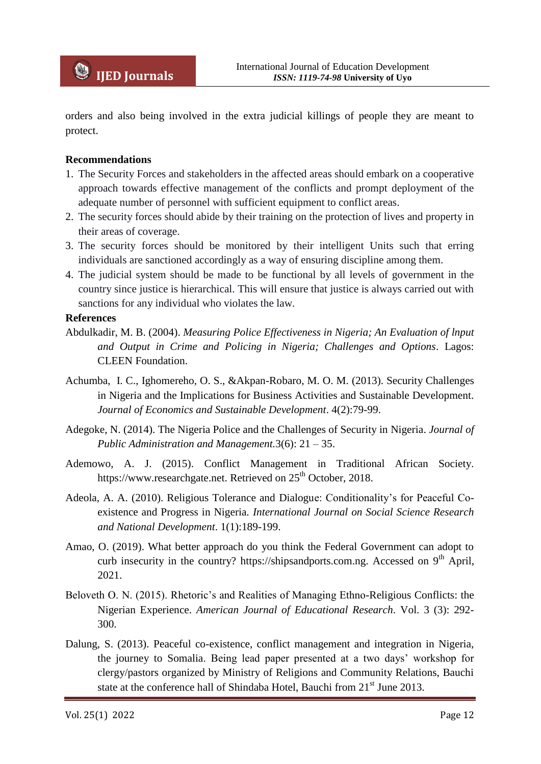orders and also being involved in the extra judicial killings of people they are meant to protect.

## **Recommendations**

- 1. The Security Forces and stakeholders in the affected areas should embark on a cooperative approach towards effective management of the conflicts and prompt deployment of the adequate number of personnel with sufficient equipment to conflict areas.
- 2. The security forces should abide by their training on the protection of lives and property in their areas of coverage.
- 3. The security forces should be monitored by their intelligent Units such that erring individuals are sanctioned accordingly as a way of ensuring discipline among them.
- 4. The judicial system should be made to be functional by all levels of government in the country since justice is hierarchical. This will ensure that justice is always carried out with sanctions for any individual who violates the law.

### **References**

- Abdulkadir, M. B. (2004). *Measuring Police Effectiveness in Nigeria; An Evaluation of lnput and Output in Crime and Policing in Nigeria; Challenges and Options*. Lagos: CLEEN Foundation.
- Achumba, I. C., Ighomereho, O. S., &Akpan-Robaro, M. O. M. (2013). Security Challenges in Nigeria and the Implications for Business Activities and Sustainable Development. *Journal of Economics and Sustainable Development*. 4(2):79-99.
- Adegoke, N. (2014). The Nigeria Police and the Challenges of Security in Nigeria. *Journal of Public Administration and Management.*3(6): 21 – 35.
- Ademowo, A. J. (2015). Conflict Management in Traditional African Society. https://www.researchgate.net. Retrieved on 25<sup>th</sup> October, 2018.
- Adeola, A. A. (2010). Religious Tolerance and Dialogue: Conditionality's for Peaceful Coexistence and Progress in Nigeria. *International Journal on Social Science Research and National Development*. 1(1):189-199.
- Amao, O. (2019). What better approach do you think the Federal Government can adopt to curb insecurity in the country? https://shipsandports.com.ng. Accessed on 9<sup>th</sup> April, 2021.
- Beloveth O. N. (2015). Rhetoric's and Realities of Managing Ethno-Religious Conflicts: the Nigerian Experience. *American Journal of Educational Research*. Vol. 3 (3): 292- 300.
- Dalung, S. (2013). Peaceful co-existence, conflict management and integration in Nigeria, the journey to Somalia. Being lead paper presented at a two days' workshop for clergy/pastors organized by Ministry of Religions and Community Relations, Bauchi state at the conference hall of Shindaba Hotel, Bauchi from 21<sup>st</sup> June 2013.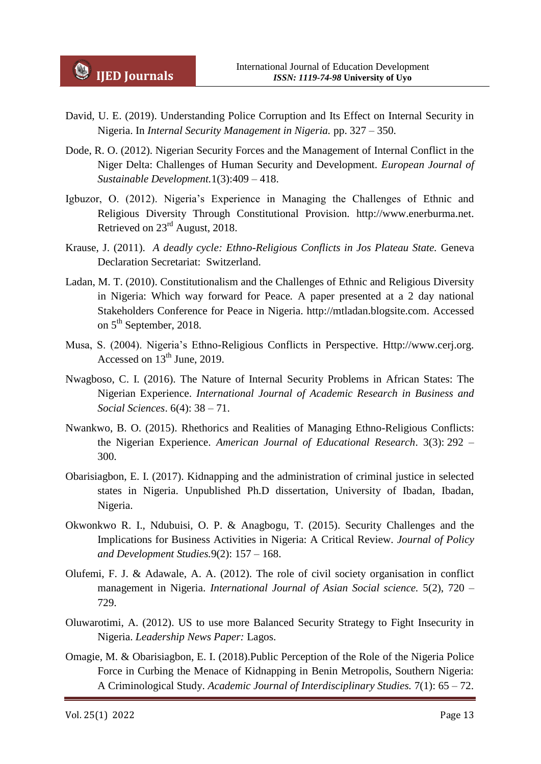- David, U. E. (2019). Understanding Police Corruption and Its Effect on Internal Security in Nigeria. In *Internal Security Management in Nigeria.* pp. 327 – 350.
- Dode, R. O. (2012). Nigerian Security Forces and the Management of Internal Conflict in the Niger Delta: Challenges of Human Security and Development. *European Journal of Sustainable Development.*1(3):409 – 418.
- Igbuzor, O. (2012). Nigeria's Experience in Managing the Challenges of Ethnic and Religious Diversity Through Constitutional Provision*.* http://www.enerburma.net. Retrieved on 23rd August, 2018.
- Krause, J. (2011). *A deadly cycle: Ethno-Religious Conflicts in Jos Plateau State.* Geneva Declaration Secretariat: Switzerland.
- Ladan, M. T. (2010). Constitutionalism and the Challenges of Ethnic and Religious Diversity in Nigeria: Which way forward for Peace*.* A paper presented at a 2 day national Stakeholders Conference for Peace in Nigeria. http://mtladan.blogsite.com. Accessed on 5<sup>th</sup> September, 2018.
- Musa, S. (2004). Nigeria's Ethno-Religious Conflicts in Perspective. Http://www.cerj.org. Accessed on  $13<sup>th</sup>$  June, 2019.
- Nwagboso, C. I. (2016). The Nature of Internal Security Problems in African States: The Nigerian Experience. *International Journal of Academic Research in Business and Social Sciences*. 6(4): 38 – 71.
- Nwankwo, B. O. (2015). Rhethorics and Realities of Managing Ethno-Religious Conflicts: the Nigerian Experience. *American Journal of Educational Research*. 3(3): 292 – 300.
- Obarisiagbon, E. I. (2017). Kidnapping and the administration of criminal justice in selected states in Nigeria. Unpublished Ph.D dissertation, University of Ibadan, Ibadan, Nigeria.
- Okwonkwo R. I., Ndubuisi, O. P. & Anagbogu, T. (2015). Security Challenges and the Implications for Business Activities in Nigeria: A Critical Review. *Journal of Policy and Development Studies.*9(2): 157 – 168.
- Olufemi, F. J. & Adawale, A. A. (2012). The role of civil society organisation in conflict management in Nigeria. *International Journal of Asian Social science.* 5(2), 720 – 729.
- Oluwarotimi, A. (2012). US to use more Balanced Security Strategy to Fight Insecurity in Nigeria. *Leadership News Paper:* Lagos.
- Omagie, M. & Obarisiagbon, E. I. (2018).Public Perception of the Role of the Nigeria Police Force in Curbing the Menace of Kidnapping in Benin Metropolis, Southern Nigeria: A Criminological Study. *Academic Journal of Interdisciplinary Studies.* 7(1): 65 – 72.